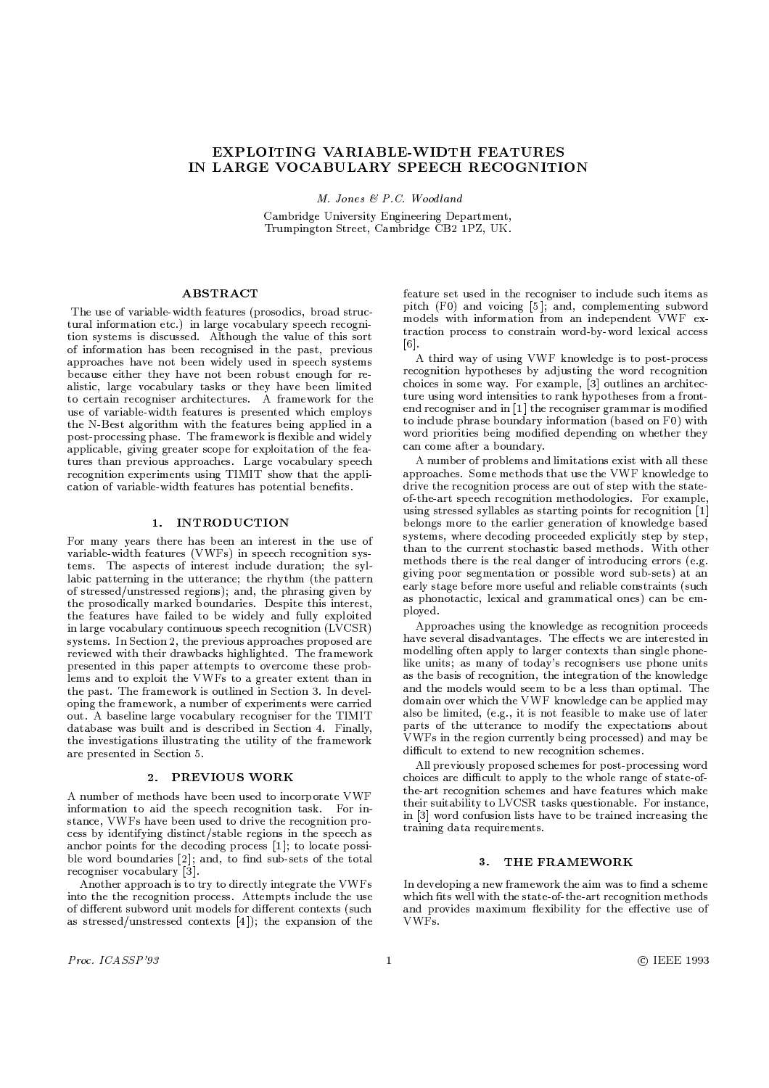# EXPLOITING VARIABLE-WIDTH FEATURES IN LARGE VOCABULARY SPEECH RECOGNITION

M. Jones  $\mathcal{C}$  P.C. Woodland

Cambridge University Engineering Department, Trumpington Street, Cambridge CB2 1PZ, UK.

### **ABSTRACT**

The use of variable-width features (prosodics, broad structural information etc.) in large vocabulary speech recognition systems is discussed. Although the value of this sort of information has been recognised in the past, previous approaches have not been widely used in speech systems because either they have not been robust enough for realistic, large vocabulary tasks or they have been limited to certain recogniser architectures. A framework for the use of variable-width features is presented which employs the N-Best algorithm with the features being applied in a post-processing phase. The framework is flexible and widely applicable, giving greater scope for exploitation of the features than previous approaches. Large vocabulary speech recognition experiments using TIMIT show that the application of variable-width features has potential benefits.

#### 1. INTRODUCTION

For many years there has been an interest in the use of variable-width features (VWFs) in speech recognition systems. The aspects of interest include duration: the syllabic patterning in the utterance; the rhythm (the pattern of stressed/unstressed regions); and, the phrasing given by the prosodically marked boundaries. Despite this interest, the features have failed to be widely and fully exploited in large vocabulary continuous speech recognition (LVCSR) systems. In Section 2, the previous approaches proposed are reviewed with their drawbacks highlighted. The framework presented in this paper attempts to overcome these problems and to exploit the VWFs to a greater extent than in the past. The framework is outlined in Section 3. In developing the framework, a number of experiments were carried out. A baseline large vocabulary recogniser for the TIMIT database was built and is described in Section 4. Finally, the investigations illustrating the utility of the framework are presented in Section 5.

#### 2. PREVIOUS WORK

A number of methods have been used to incorporate VWF information to aid the speech recognition task. For instance, VWFs have been used to drive the recognition process by identifying distinct/stable regions in the speech as anchor points for the decoding process [1]; to locate possible word boundaries [2]; and, to find sub-sets of the total recogniser vocabulary [3].

Another approach is to try to directly integrate the VWFs into the the recognition process. Attempts include the use of different subword unit models for different contexts (such as stressed/unstressed contexts [4]); the expansion of the

feature set used in the recogniser to include such items as pitch (F0) and voicing [5]; and, complementing subword models with information from an independent VWF extraction process to constrain word-by-word lexical access  $[6]$ .

A third way of using VWF knowledge is to post-process recognition hypotheses by adjusting the word recognition choices in some way. For example, [3] outlines an architecture using word intensities to rank hypotheses from a frontend recogniser and in [1] the recogniser grammar is modified to include phrase boundary information (based on F0) with word priorities being modified depending on whether they can come after a boundary.

A number of problems and limitations exist with all these approaches. Some methods that use the VWF knowledge to drive the recognition process are out of step with the stateof-the-art speech recognition methodologies. For example, using stressed syllables as starting points for recognition [1] belongs more to the earlier generation of knowledge based systems, where decoding proceeded explicitly step by step, than to the current stochastic based methods. With other methods there is the real danger of introducing errors (e.g. giving poor segmentation or possible word sub-sets) at an early stage before more useful and reliable constraints (such as phonotactic, lexical and grammatical ones) can be emploved.

Approaches using the knowledge as recognition proceeds have several disadvantages. The effects we are interested in modelling often apply to larger contexts than single phonelike units; as many of today's recognisers use phone units as the basis of recognition, the integration of the knowledge and the models would seem to be a less than optimal. The domain over which the VWF knowledge can be applied may also be limited, (e.g., it is not feasible to make use of later parts of the utterance to modify the expectations about VWFs in the region currently being processed) and may be difficult to extend to new recognition schemes.

All previously proposed schemes for post-processing word choices are difficult to apply to the whole range of state-ofthe-art recognition schemes and have features which make their suitability to LVCSR tasks questionable. For instance, in [3] word confusion lists have to be trained increasing the training data requirements.

#### 3. THE FRAMEWORK

In developing a new framework the aim was to find a scheme which fits well with the state-of-the-art recognition methods and provides maximum flexibility for the effective use of VWFs.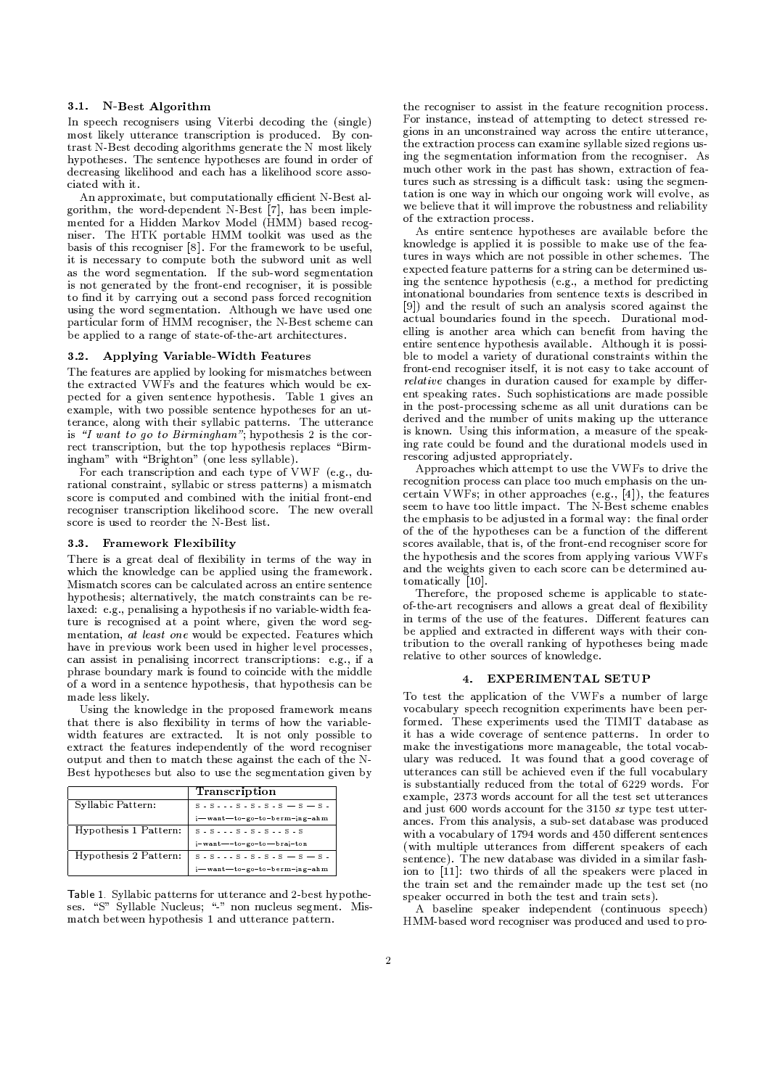#### 3.1. N-Best Algorithm

In speech recognisers using Viterbi decoding the (single) most likely utterance transcription is produced. By contrast N-Best decoding algorithms generate the N most likely hypotheses. The sentence hypotheses are found in order of decreasing likelihood and each has a likelihood score associated with it.

An approximate, but computationally efficient N-Best algorithm, the word-dependent N-Best [7], has been implemented for a Hidden Markov Model (HMM) based recogniser. The HTK portable HMM toolkit was used as the basis of this recogniser [8]. For the framework to be useful, it is necessary to compute both the subword unit as well as the word segmentation. If the sub-word segmentation is not generated by the front-end recogniser, it is possible to find it by carrying out a second pass forced recognition using the word segmentation. Although we have used one particular form of HMM recogniser, the N-Best scheme can be applied to a range of state-of-the-art architectures.

## 3.2. Applying Variable-Width Features

The features are applied by looking for mismatches between the extracted VWFs and the features which would be expected for a given sentence hypothesis. Table 1 gives an example, with two possible sentence hypotheses for an utterance, along with their syllabic patterns. The utterance<br>is "I want to go to Birmingham"; hypothesis 2 is the correct transcription, but the top hypothesis replaces "Birmingham" with "Brighton" (one less syllable).

For each transcription and each type of VWF (e.g., durational constraint, syllabic or stress patterns) a mismatch score is computed and combined with the initial front-end recogniser transcription likelihood score. The new overall score is used to reorder the N-Best list.

### 3.3. Framework Flexibility

There is a great deal of flexibility in terms of the way in which the knowledge can be applied using the framework. Mismatch scores can be calculated across an entire sentence hypothesis; alternatively, the match constraints can be relaxed: e.g., penalising a hypothesis if no variable-width feature is recognised at a point where, given the word segmentation, at least one would be expected. Features which have in previous work been used in higher level processes, can assist in penalising incorrect transcriptions: e.g., if a phrase boundary mark is found to coincide with the middle of a word in a sentence hypothesis, that hypothesis can be made less likely.

Using the knowledge in the proposed framework means that there is also flexibility in terms of how the variablewidth features are extracted. It is not only possible to extract the features independently of the word recogniser output and then to match these against the each of the N-Best hypotheses but also to use the segmentation given by

|                       | Transcription                |  |
|-----------------------|------------------------------|--|
| Syllabic Pattern:     | $S-SS-S-S-S-S-S$ .           |  |
|                       | i-want-to-go-to-berm-ing-ahm |  |
| Hypothesis 1 Pattern: |                              |  |
|                       | i-want-to-go-to-brai-ton     |  |
| Hypothesis 2 Pattern: | $S-SS-S-S-S-S-S$ .           |  |
|                       | i-want-to-go-to-berm-ing-ahm |  |

Table 1. Syllabic patterns for utterance and 2-best hypotheses. "S" Syllable Nucleus; "-" non nucleus segment. Mismatch between hypothesis 1 and utterance pattern.

the recogniser to assist in the feature recognition process. For instance, instead of attempting to detect stressed regions in an unconstrained way across the entire utterance. the extraction process can examine syllable sized regions using the segmentation information from the recogniser. As much other work in the past has shown, extraction of features such as stressing is a difficult task: using the segmentation is one way in which our ongoing work will evolve, as we believe that it will improve the robustness and reliability of the extraction process.

As entire sentence hypotheses are available before the knowledge is applied it is possible to make use of the features in ways which are not possible in other schemes. The expected feature patterns for a string can be determined using the sentence hypothesis (e.g., a method for predicting intonational boundaries from sentence texts is described in [9]) and the result of such an analysis scored against the actual boundaries found in the speech. Durational modelling is another area which can benefit from having the entire sentence hypothesis available. Although it is possible to model a variety of durational constraints within the front-end recogniser itself, it is not easy to take account of *relative* changes in duration caused for example by different speaking rates. Such sophistications are made possible in the post-processing scheme as all unit durations can be derived and the number of units making up the utterance is known. Using this information, a measure of the speaking rate could be found and the durational models used in rescoring adjusted appropriately.

Approaches which attempt to use the VWFs to drive the recognition process can place too much emphasis on the uncertain VWFs; in other approaches (e.g.,  $[4]$ ), the features seem to have too little impact. The N-Best scheme enables the emphasis to be adjusted in a formal way: the final order of the of the hypotheses can be a function of the different scores available, that is, of the front-end recogniser score for the hypothesis and the scores from applying various VWFs and the weights given to each score can be determined automatically [10].

Therefore, the proposed scheme is applicable to stateof-the-art recognisers and allows a great deal of flexibility in terms of the use of the features. Different features can be applied and extracted in different ways with their contribution to the overall ranking of hypotheses being made relative to other sources of knowledge.

### 4. EXPERIMENTAL SETUP

To test the application of the VWFs a number of large vocabulary speech recognition experiments have been performed. These experiments used the TIMIT database as it has a wide coverage of sentence patterns. In order to make the investigations more manageable, the total vocabulary was reduced. It was found that a good coverage of utterances can still be achieved even if the full vocabulary is substantially reduced from the total of 6229 words. For example, 2373 words account for all the test set utterances and just 600 words account for the 3150  $sx$  type test utterances. From this analysis, a sub-set database was produced with a vocabulary of 1794 words and 450 different sentences (with multiple utterances from different speakers of each sentence). The new database was divided in a similar fashion to [11]: two thirds of all the speakers were placed in the train set and the remainder made up the test set (no speaker occurred in both the test and train sets).

A baseline speaker independent (continuous speech) HMM-based word recogniser was produced and used to pro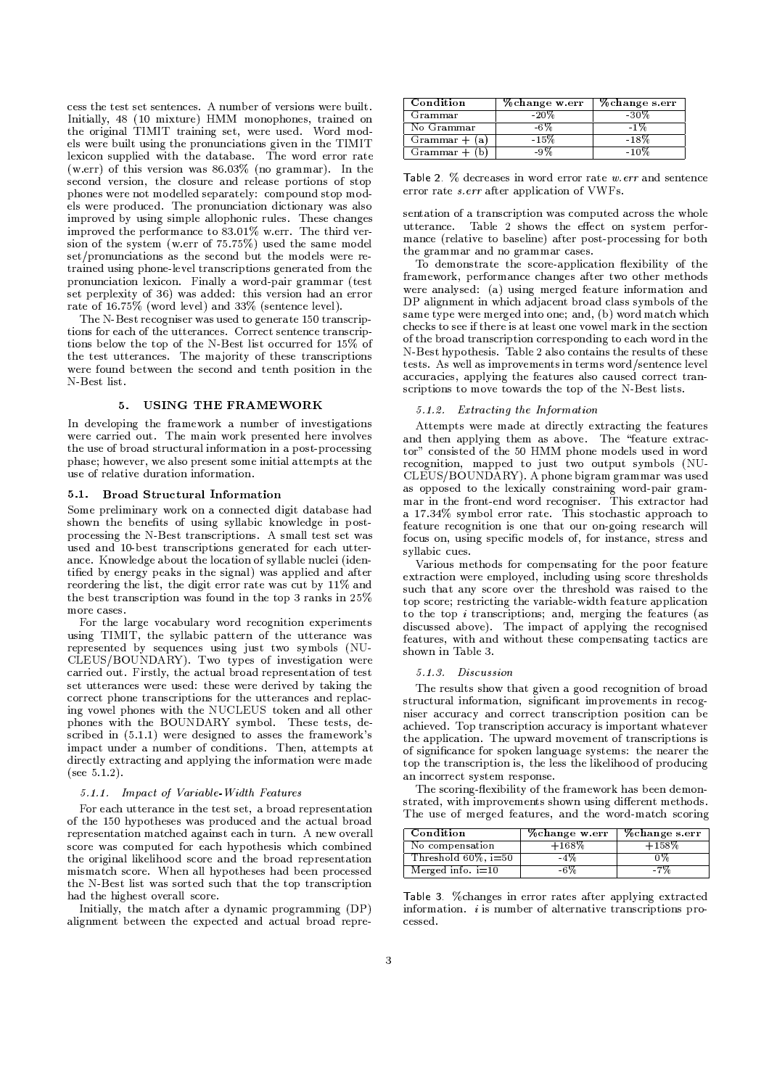cess the test set sentences. A number of versions were built. Initially, 48 (10 mixture) HMM monophones, trained on the original TIMIT training set, were used. Word models were built using the pronunciations given in the TIMIT lexicon supplied with the database. The word error rate (w.err) of this version was  $86.03\%$  (no grammar). In the second version, the closure and release portions of stop phones were not modelled separately: compound stop models were produced. The pronunciation dictionary was also improved by using simple allophonic rules. These changes<br>improved the performance to 83.01% w.err. The third version of the system (w.err of 75.75%) used the same model set/pronunciations as the second but the models were retrained using phone-level transcriptions generated from the pronunciation lexicon. Finally a word-pair grammar (test set perplexity of 36) was added: this version had an error rate of 16.75% (word level) and 33% (sentence level).

The N-Best recogniser was used to generate 150 transcriptions for each of the utterances. Correct sentence transcriptions below the top of the N-Best list occurred for 15% of the test utterances. The majority of these transcriptions were found between the second and tenth position in the N-Best list.

#### 5. USING THE FRAMEWORK

In developing the framework a number of investigations were carried out. The main work presented here involves the use of broad structural information in a post-processing phase; however, we also present some initial attempts at the use of relative duration information.

## 5.1. Broad Structural Information

Some preliminary work on a connected digit database had shown the benefits of using syllabic knowledge in postprocessing the N-Best transcriptions. A small test set was used and 10-best transcriptions generated for each utterance. Knowledge about the location of syllable nuclei (identified by energy peaks in the signal) was applied and after reordering the list, the digit error rate was cut by 11% and the best transcription was found in the top 3 ranks in 25% more cases.

For the large vocabulary word recognition experiments using TIMIT, the syllabic pattern of the utterance was represented by sequences using just two symbols (NU-CLEUS/BOUNDARY). Two types of investigation were carried out. Firstly, the actual broad representation of test set utterances were used: these were derived by taking the correct phone transcriptions for the utterances and replacing vowel phones with the NUCLEUS token and all other phones with the BOUNDARY symbol. These tests, described in (5.1.1) were designed to asses the framework's impact under a number of conditions. Then, attempts at directly extracting and applying the information were made (see  $5.1.2$ ).

#### 5.1.1. Impact of Variable-Width Features

For each utterance in the test set, a broad representation of the 150 hypotheses was produced and the actual broad representation matched against each in turn. A new overall score was computed for each hypothesis which combined the original likelihood score and the broad representation mismatch score. When all hypotheses had been processed the N-Best list was sorted such that the top transcription had the highest overall score.

Initially, the match after a dynamic programming (DP) alignment between the expected and actual broad repre-

| Condition       | %change w.err | %change s.err |
|-----------------|---------------|---------------|
| Grammar         | $-20%$        | $-30\%$       |
| No Grammar      | -6%           | $-1\%$        |
| Grammar $+$ (a) | $-15%$        | $-18\%$       |
| $Grammar + (b)$ | -9%           |               |

Table 2. % decreases in word error rate w.err and sentence error rate s.err after application of VWFs.

sentation of a transcription was computed across the whole utterance. Table 2 shows the effect on system performance (relative to baseline) after post-processing for both the grammar and no grammar cases.

To demonstrate the score-application flexibility of the framework, performance changes after two other methods were analysed: (a) using merged feature information and DP alignment in which adjacent broad class symbols of the same type were merged into one; and, (b) word match which checks to see if there is at least one vowel mark in the section of the broad transcription corresponding to each word in the N-Best hypothesis. Table 2 also contains the results of these tests. As well as improvements in terms word/sentence level accuracies, applying the features also caused correct transcriptions to move towards the top of the N-Best lists.

#### 5.1.2. Extracting the Information

Attempts were made at directly extracting the features and then applying them as above. The "feature extractor" consisted of the 50 HMM phone models used in word recognition, mapped to just two output symbols (NU-CLEUS/BOUNDARY). A phone bigram grammar was used as opposed to the lexically constraining word-pair grammar in the front-end word recogniser. This extractor had a 17.34% symbol error rate. This stochastic approach to feature recognition is one that our on-going research will focus on, using specific models of, for instance, stress and syllabic cues.

Various methods for compensating for the poor feature extraction were employed, including using score thresholds such that any score over the threshold was raised to the top score; restricting the variable-width feature application to the top  $i$  transcriptions; and, merging the features (as discussed above). The impact of applying the recognised features, with and without these compensating tactics are shown in Table 3.

#### 5.1.3. Discussion

The results show that given a good recognition of broad structural information, significant improvements in recogniser accuracy and correct transcription position can be achieved. Top transcription accuracy is important whatever the application. The upward movement of transcriptions is of significance for spoken language systems: the nearer the top the transcription is, the less the likelihood of producing an incorrect system response.

The scoring-flexibility of the framework has been demonstrated, with improvements shown using different methods. The use of merged features, and the word-match scoring

| Condition               | %change w.err | %change s.err |
|-------------------------|---------------|---------------|
| No compensation         | $+168\%$      | $+158%$       |
| Threshold $60\%$ , i=50 | $-4\%$        |               |
| Merged info. $i=10$     | -6%           | $-7\%$        |

Table 3. % changes in error rates after applying extracted information.  $i$  is number of alternative transcriptions processed.